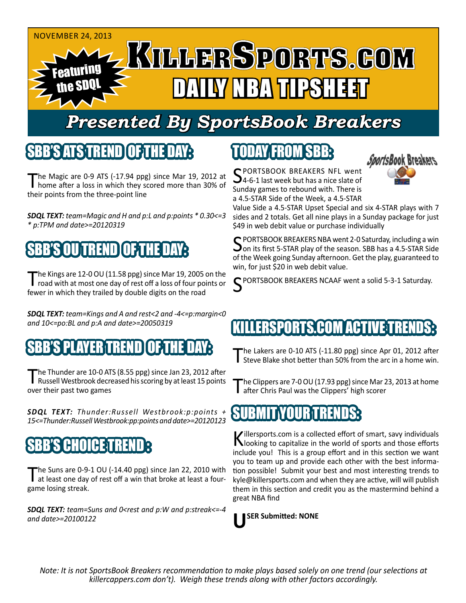

## *Presented By SportsBook Breakers*

### SBB'S ATSTEREND

The Magic are 0-9 ATS (-17.94 ppg) since Mar 19, 2012 at home after a loss in which they scored more than 30% of their points from the three-point line

*SDQL TEXT: team=Magic and H and p:L and p:points \* 0.30<=3 \* p:TPM and date>=20120319*

## SBB'S OU TREND OF THE DAY:

The Kings are 12-0 OU (11.58 ppg) since Mar 19, 2005 on the road with at most one day of rest off a loss of four points or fewer in which they trailed by double digits on the road

*SDQL TEXT: team=Kings and A and rest<2 and -4<=p:margin<0 and 10<=po:BL and p:A and date>=20050319*

### SBB'S PLAYER TREND OF THE DAY:

The Thunder are 10-0 ATS (8.55 ppg) since Jan 23, 2012 after<br>Russell Westbrook decreased his scoring by at least 15 points over their past two games

*SDQL TEXT: Thunder:Russell Westbrook:p:points + 15<=Thunder:Russell Westbrook:pp:points and date>=20120123*

## SBB'S CHOICET

The Suns are 0-9-1 OU (-14.40 ppg) since Jan 22, 2010 with at least one day of rest off a win that broke at least a fourgame losing streak.

*SDQL TEXT: team=Suns and 0<rest and p:W and p:streak<=-4 and date>=20100122*

## TODAY FROM SBB:



SPORTSBOOK BREAKERS NFL went<br>54-6-1 last week but has a nice slate of Sunday games to rebound with. There is a 4.5-STAR Side of the Week, a 4.5-STAR

Value Side a 4.5-STAR Upset Special and six 4-STAR plays with 7 sides and 2 totals. Get all nine plays in a Sunday package for just \$49 in web debit value or purchase individually

C PORTSBOOK BREAKERS NBA went 2-0 Saturday, including a win on its first 5-STAR play of the season. SBB has a 4.5-STAR Side of the Week going Sunday afternoon. Get the play, guaranteed to win, for just \$20 in web debit value.

PORTSBOOK BREAKERS NCAAF went a solid 5-3-1 Saturday.

### K**PORTS.COM ACTIVE**

The Lakers are 0-10 ATS (-11.80 ppg) since Apr 01, 2012 after<br>Steve Blake shot better than 50% from the arc in a home win.

The Clippers are 7-0 OU (17.93 ppg) since Mar 23, 2013 at home after Chris Paul was the Clippers' high scorer

### SUBMIT YOUR TRENDS:

Killersports.com is a collected effort of smart, savy individuals<br>Nooking to capitalize in the world of sports and those efforts include you! This is a group effort and in this section we want you to team up and provide each other with the best information possible! Submit your best and most interesting trends to kyle@killersports.com and when they are active, will will publish them in this section and credit you as the mastermind behind a great NBA find

**USER Submitted: NONE**

*Note: It is not SportsBook Breakers recommendation to make plays based solely on one trend (our selections at killercappers.com don't). Weigh these trends along with other factors accordingly.*